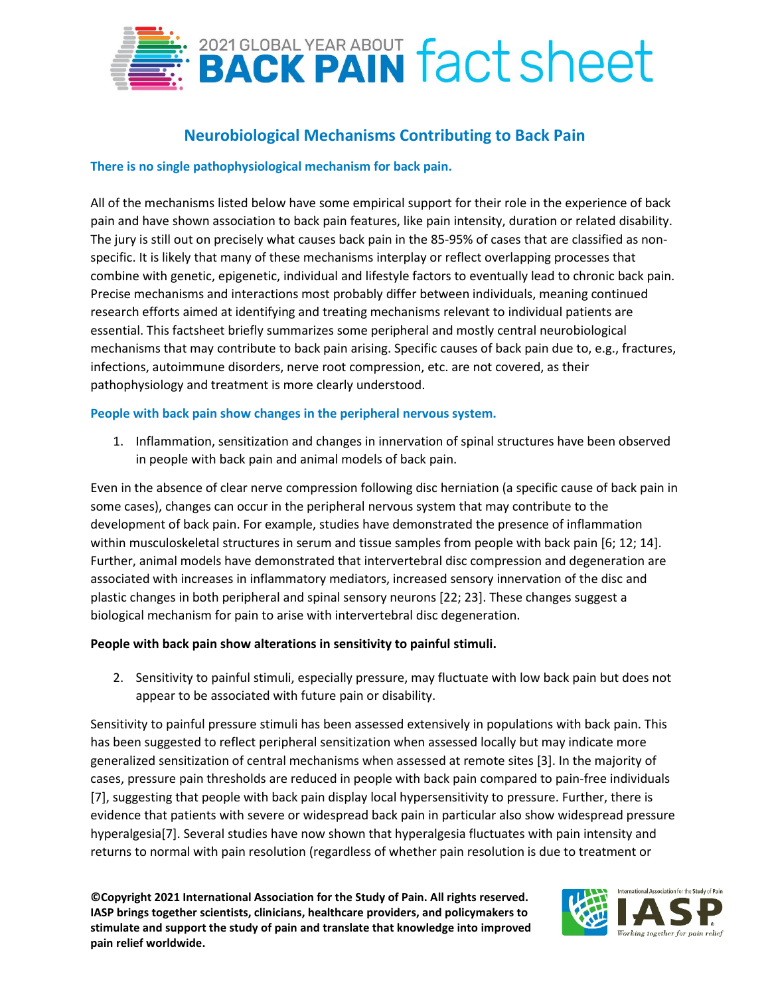

# **Neurobiological Mechanisms Contributing to Back Pain**

## **There is no single pathophysiological mechanism for back pain.**

All of the mechanisms listed below have some empirical support for their role in the experience of back pain and have shown association to back pain features, like pain intensity, duration or related disability. The jury is still out on precisely what causes back pain in the 85-95% of cases that are classified as nonspecific. It is likely that many of these mechanisms interplay or reflect overlapping processes that combine with genetic, epigenetic, individual and lifestyle factors to eventually lead to chronic back pain. Precise mechanisms and interactions most probably differ between individuals, meaning continued research efforts aimed at identifying and treating mechanisms relevant to individual patients are essential. This factsheet briefly summarizes some peripheral and mostly central neurobiological mechanisms that may contribute to back pain arising. Specific causes of back pain due to, e.g., fractures, infections, autoimmune disorders, nerve root compression, etc. are not covered, as their pathophysiology and treatment is more clearly understood.

### **People with back pain show changes in the peripheral nervous system.**

1. Inflammation, sensitization and changes in innervation of spinal structures have been observed in people with back pain and animal models of back pain.

Even in the absence of clear nerve compression following disc herniation (a specific cause of back pain in some cases), changes can occur in the peripheral nervous system that may contribute to the development of back pain. For example, studies have demonstrated the presence of inflammation within musculoskeletal structures in serum and tissue samples from people with back pain [6; 12; 14]. Further, animal models have demonstrated that intervertebral disc compression and degeneration are associated with increases in inflammatory mediators, increased sensory innervation of the disc and plastic changes in both peripheral and spinal sensory neurons [22; 23]. These changes suggest a biological mechanism for pain to arise with intervertebral disc degeneration.

### **People with back pain show alterations in sensitivity to painful stimuli.**

2. Sensitivity to painful stimuli, especially pressure, may fluctuate with low back pain but does not appear to be associated with future pain or disability.

Sensitivity to painful pressure stimuli has been assessed extensively in populations with back pain. This has been suggested to reflect peripheral sensitization when assessed locally but may indicate more generalized sensitization of central mechanisms when assessed at remote sites [3]. In the majority of cases, pressure pain thresholds are reduced in people with back pain compared to pain-free individuals [7], suggesting that people with back pain display local hypersensitivity to pressure. Further, there is evidence that patients with severe or widespread back pain in particular also show widespread pressure hyperalgesia[7]. Several studies have now shown that hyperalgesia fluctuates with pain intensity and returns to normal with pain resolution (regardless of whether pain resolution is due to treatment or

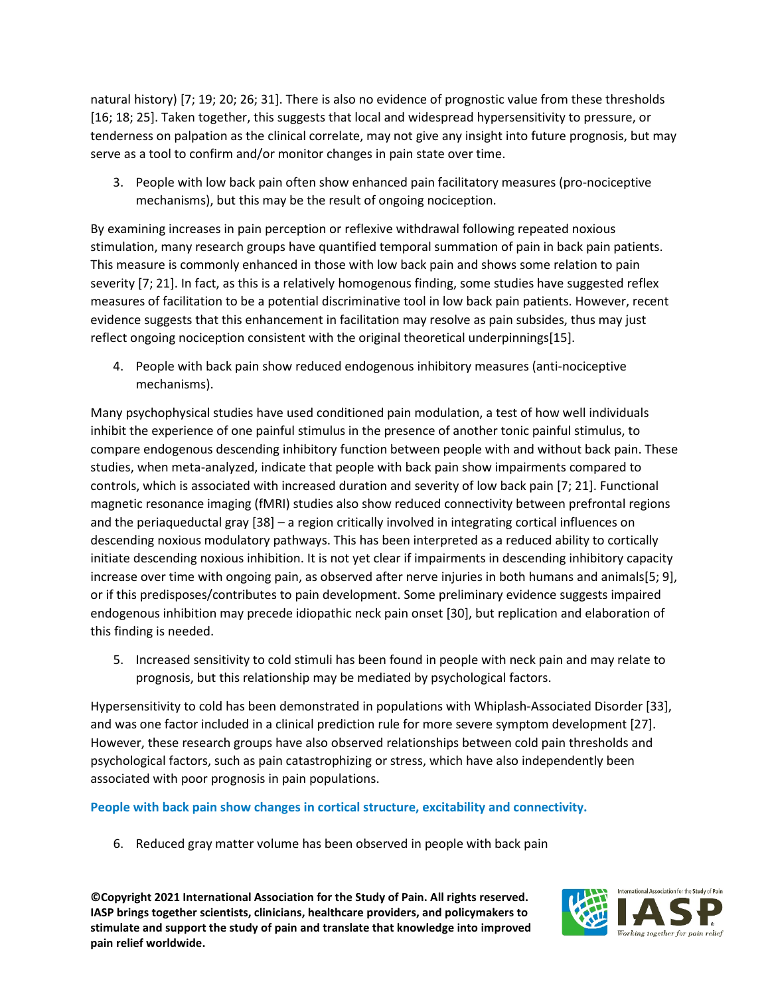natural history) [7; 19; 20; 26; 31]. There is also no evidence of prognostic value from these thresholds [16; 18; 25]. Taken together, this suggests that local and widespread hypersensitivity to pressure, or tenderness on palpation as the clinical correlate, may not give any insight into future prognosis, but may serve as a tool to confirm and/or monitor changes in pain state over time.

3. People with low back pain often show enhanced pain facilitatory measures (pro-nociceptive mechanisms), but this may be the result of ongoing nociception.

By examining increases in pain perception or reflexive withdrawal following repeated noxious stimulation, many research groups have quantified temporal summation of pain in back pain patients. This measure is commonly enhanced in those with low back pain and shows some relation to pain severity [7; 21]. In fact, as this is a relatively homogenous finding, some studies have suggested reflex measures of facilitation to be a potential discriminative tool in low back pain patients. However, recent evidence suggests that this enhancement in facilitation may resolve as pain subsides, thus may just reflect ongoing nociception consistent with the original theoretical underpinnings[15].

4. People with back pain show reduced endogenous inhibitory measures (anti-nociceptive mechanisms).

Many psychophysical studies have used conditioned pain modulation, a test of how well individuals inhibit the experience of one painful stimulus in the presence of another tonic painful stimulus, to compare endogenous descending inhibitory function between people with and without back pain. These studies, when meta-analyzed, indicate that people with back pain show impairments compared to controls, which is associated with increased duration and severity of low back pain [7; 21]. Functional magnetic resonance imaging (fMRI) studies also show reduced connectivity between prefrontal regions and the periaqueductal gray [38] – a region critically involved in integrating cortical influences on descending noxious modulatory pathways. This has been interpreted as a reduced ability to cortically initiate descending noxious inhibition. It is not yet clear if impairments in descending inhibitory capacity increase over time with ongoing pain, as observed after nerve injuries in both humans and animals[5; 9], or if this predisposes/contributes to pain development. Some preliminary evidence suggests impaired endogenous inhibition may precede idiopathic neck pain onset [30], but replication and elaboration of this finding is needed.

5. Increased sensitivity to cold stimuli has been found in people with neck pain and may relate to prognosis, but this relationship may be mediated by psychological factors.

Hypersensitivity to cold has been demonstrated in populations with Whiplash-Associated Disorder [33], and was one factor included in a clinical prediction rule for more severe symptom development [27]. However, these research groups have also observed relationships between cold pain thresholds and psychological factors, such as pain catastrophizing or stress, which have also independently been associated with poor prognosis in pain populations.

**People with back pain show changes in cortical structure, excitability and connectivity.** 

6. Reduced gray matter volume has been observed in people with back pain

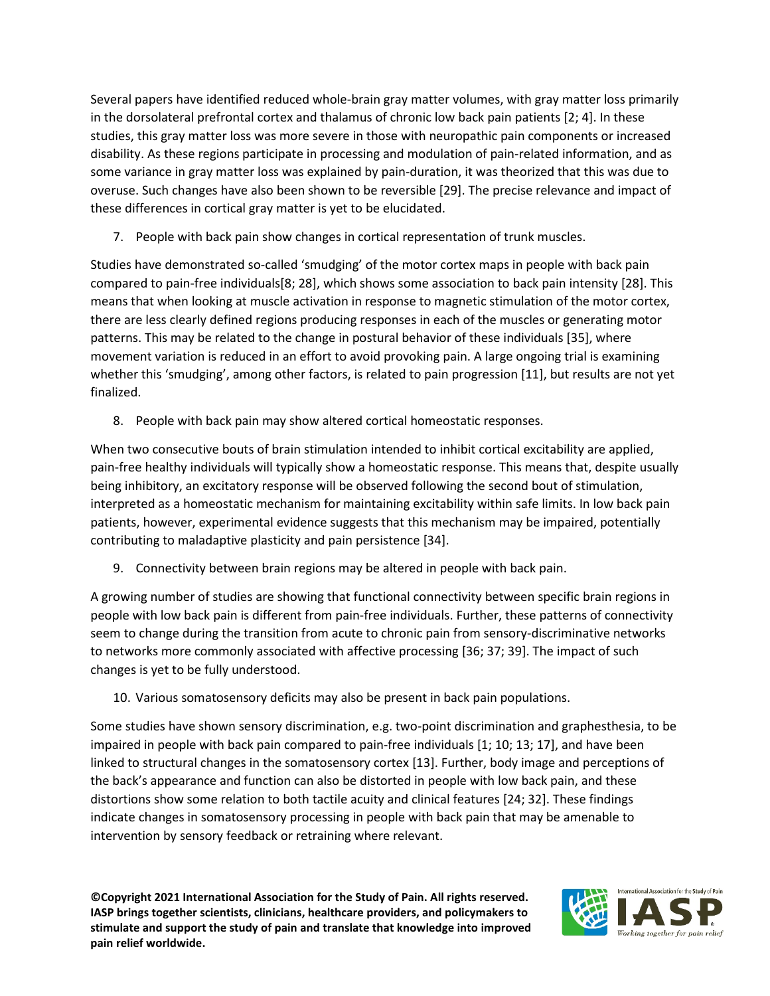Several papers have identified reduced whole-brain gray matter volumes, with gray matter loss primarily in the dorsolateral prefrontal cortex and thalamus of chronic low back pain patients [2; 4]. In these studies, this gray matter loss was more severe in those with neuropathic pain components or increased disability. As these regions participate in processing and modulation of pain-related information, and as some variance in gray matter loss was explained by pain-duration, it was theorized that this was due to overuse. Such changes have also been shown to be reversible [29]. The precise relevance and impact of these differences in cortical gray matter is yet to be elucidated.

7. People with back pain show changes in cortical representation of trunk muscles.

Studies have demonstrated so-called 'smudging' of the motor cortex maps in people with back pain compared to pain-free individuals[8; 28], which shows some association to back pain intensity [28]. This means that when looking at muscle activation in response to magnetic stimulation of the motor cortex, there are less clearly defined regions producing responses in each of the muscles or generating motor patterns. This may be related to the change in postural behavior of these individuals [35], where movement variation is reduced in an effort to avoid provoking pain. A large ongoing trial is examining whether this 'smudging', among other factors, is related to pain progression [11], but results are not yet finalized.

8. People with back pain may show altered cortical homeostatic responses.

When two consecutive bouts of brain stimulation intended to inhibit cortical excitability are applied, pain-free healthy individuals will typically show a homeostatic response. This means that, despite usually being inhibitory, an excitatory response will be observed following the second bout of stimulation, interpreted as a homeostatic mechanism for maintaining excitability within safe limits. In low back pain patients, however, experimental evidence suggests that this mechanism may be impaired, potentially contributing to maladaptive plasticity and pain persistence [34].

9. Connectivity between brain regions may be altered in people with back pain.

A growing number of studies are showing that functional connectivity between specific brain regions in people with low back pain is different from pain-free individuals. Further, these patterns of connectivity seem to change during the transition from acute to chronic pain from sensory-discriminative networks to networks more commonly associated with affective processing [36; 37; 39]. The impact of such changes is yet to be fully understood.

10. Various somatosensory deficits may also be present in back pain populations.

Some studies have shown sensory discrimination, e.g. two-point discrimination and graphesthesia, to be impaired in people with back pain compared to pain-free individuals [1; 10; 13; 17], and have been linked to structural changes in the somatosensory cortex [13]. Further, body image and perceptions of the back's appearance and function can also be distorted in people with low back pain, and these distortions show some relation to both tactile acuity and clinical features [24; 32]. These findings indicate changes in somatosensory processing in people with back pain that may be amenable to intervention by sensory feedback or retraining where relevant.

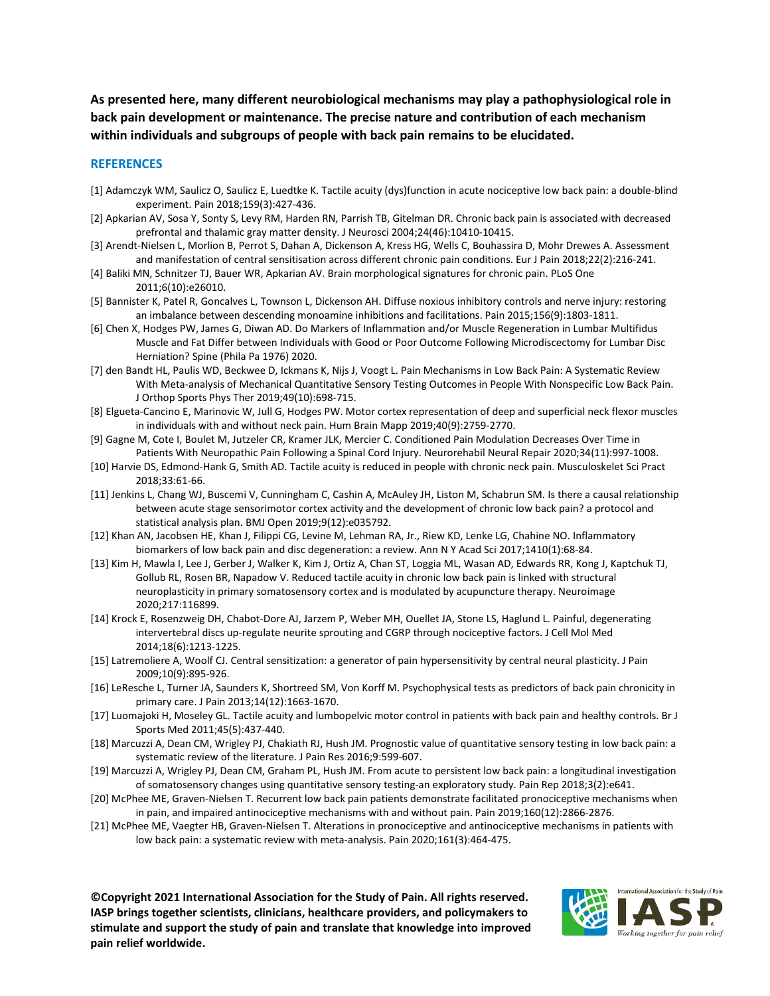**As presented here, many different neurobiological mechanisms may play a pathophysiological role in back pain development or maintenance. The precise nature and contribution of each mechanism within individuals and subgroups of people with back pain remains to be elucidated.** 

#### **REFERENCES**

- [1] Adamczyk WM, Saulicz O, Saulicz E, Luedtke K. Tactile acuity (dys)function in acute nociceptive low back pain: a double-blind experiment. Pain 2018;159(3):427-436.
- [2] Apkarian AV, Sosa Y, Sonty S, Levy RM, Harden RN, Parrish TB, Gitelman DR. Chronic back pain is associated with decreased prefrontal and thalamic gray matter density. J Neurosci 2004;24(46):10410-10415.
- [3] Arendt-Nielsen L, Morlion B, Perrot S, Dahan A, Dickenson A, Kress HG, Wells C, Bouhassira D, Mohr Drewes A. Assessment and manifestation of central sensitisation across different chronic pain conditions. Eur J Pain 2018;22(2):216-241.
- [4] Baliki MN, Schnitzer TJ, Bauer WR, Apkarian AV. Brain morphological signatures for chronic pain. PLoS One 2011;6(10):e26010.
- [5] Bannister K, Patel R, Goncalves L, Townson L, Dickenson AH. Diffuse noxious inhibitory controls and nerve injury: restoring an imbalance between descending monoamine inhibitions and facilitations. Pain 2015;156(9):1803-1811.
- [6] Chen X, Hodges PW, James G, Diwan AD. Do Markers of Inflammation and/or Muscle Regeneration in Lumbar Multifidus Muscle and Fat Differ between Individuals with Good or Poor Outcome Following Microdiscectomy for Lumbar Disc Herniation? Spine (Phila Pa 1976) 2020.
- [7] den Bandt HL, Paulis WD, Beckwee D, Ickmans K, Nijs J, Voogt L. Pain Mechanisms in Low Back Pain: A Systematic Review With Meta-analysis of Mechanical Quantitative Sensory Testing Outcomes in People With Nonspecific Low Back Pain. J Orthop Sports Phys Ther 2019;49(10):698-715.
- [8] Elgueta-Cancino E, Marinovic W, Jull G, Hodges PW. Motor cortex representation of deep and superficial neck flexor muscles in individuals with and without neck pain. Hum Brain Mapp 2019;40(9):2759-2770.
- [9] Gagne M, Cote I, Boulet M, Jutzeler CR, Kramer JLK, Mercier C. Conditioned Pain Modulation Decreases Over Time in Patients With Neuropathic Pain Following a Spinal Cord Injury. Neurorehabil Neural Repair 2020;34(11):997-1008.
- [10] Harvie DS, Edmond-Hank G, Smith AD. Tactile acuity is reduced in people with chronic neck pain. Musculoskelet Sci Pract 2018;33:61-66.
- [11] Jenkins L, Chang WJ, Buscemi V, Cunningham C, Cashin A, McAuley JH, Liston M, Schabrun SM. Is there a causal relationship between acute stage sensorimotor cortex activity and the development of chronic low back pain? a protocol and statistical analysis plan. BMJ Open 2019;9(12):e035792.
- [12] Khan AN, Jacobsen HE, Khan J, Filippi CG, Levine M, Lehman RA, Jr., Riew KD, Lenke LG, Chahine NO. Inflammatory biomarkers of low back pain and disc degeneration: a review. Ann N Y Acad Sci 2017;1410(1):68-84.
- [13] Kim H, Mawla I, Lee J, Gerber J, Walker K, Kim J, Ortiz A, Chan ST, Loggia ML, Wasan AD, Edwards RR, Kong J, Kaptchuk TJ, Gollub RL, Rosen BR, Napadow V. Reduced tactile acuity in chronic low back pain is linked with structural neuroplasticity in primary somatosensory cortex and is modulated by acupuncture therapy. Neuroimage 2020;217:116899.
- [14] Krock E, Rosenzweig DH, Chabot-Dore AJ, Jarzem P, Weber MH, Ouellet JA, Stone LS, Haglund L. Painful, degenerating intervertebral discs up-regulate neurite sprouting and CGRP through nociceptive factors. J Cell Mol Med 2014;18(6):1213-1225.
- [15] Latremoliere A, Woolf CJ. Central sensitization: a generator of pain hypersensitivity by central neural plasticity. J Pain 2009;10(9):895-926.
- [16] LeResche L, Turner JA, Saunders K, Shortreed SM, Von Korff M. Psychophysical tests as predictors of back pain chronicity in primary care. J Pain 2013;14(12):1663-1670.
- [17] Luomajoki H, Moseley GL. Tactile acuity and lumbopelvic motor control in patients with back pain and healthy controls. Br J Sports Med 2011;45(5):437-440.
- [18] Marcuzzi A, Dean CM, Wrigley PJ, Chakiath RJ, Hush JM. Prognostic value of quantitative sensory testing in low back pain: a systematic review of the literature. J Pain Res 2016;9:599-607.
- [19] Marcuzzi A, Wrigley PJ, Dean CM, Graham PL, Hush JM. From acute to persistent low back pain: a longitudinal investigation of somatosensory changes using quantitative sensory testing-an exploratory study. Pain Rep 2018;3(2):e641.
- [20] McPhee ME, Graven-Nielsen T. Recurrent low back pain patients demonstrate facilitated pronociceptive mechanisms when in pain, and impaired antinociceptive mechanisms with and without pain. Pain 2019;160(12):2866-2876.
- [21] McPhee ME, Vaegter HB, Graven-Nielsen T. Alterations in pronociceptive and antinociceptive mechanisms in patients with low back pain: a systematic review with meta-analysis. Pain 2020;161(3):464-475.

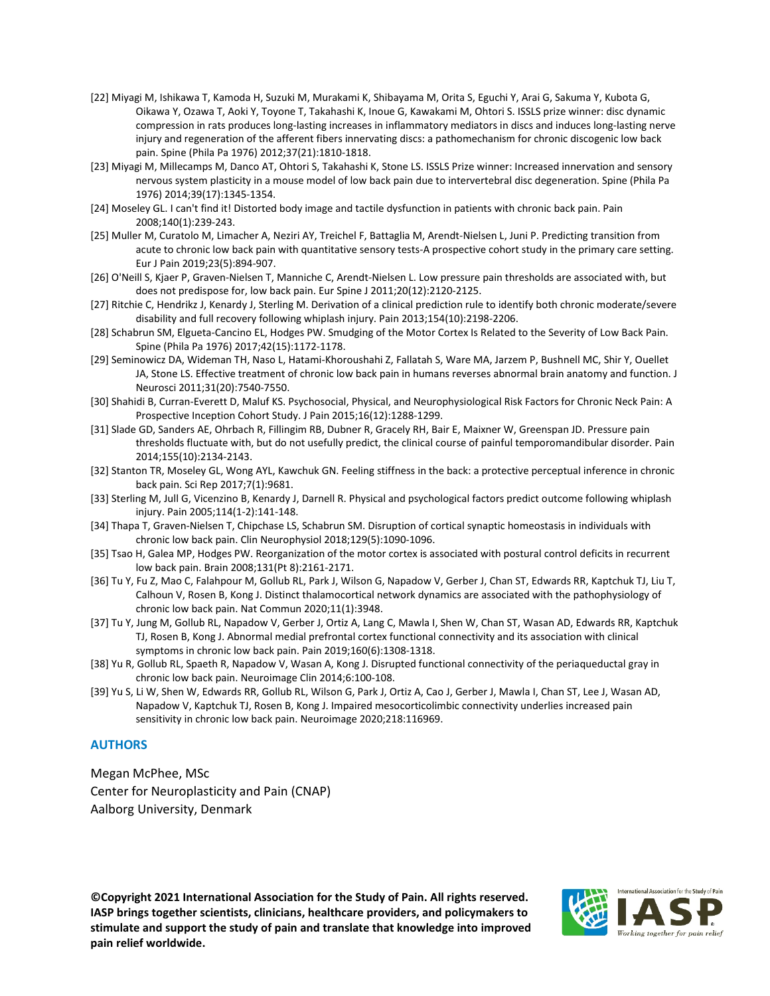- [22] Miyagi M, Ishikawa T, Kamoda H, Suzuki M, Murakami K, Shibayama M, Orita S, Eguchi Y, Arai G, Sakuma Y, Kubota G, Oikawa Y, Ozawa T, Aoki Y, Toyone T, Takahashi K, Inoue G, Kawakami M, Ohtori S. ISSLS prize winner: disc dynamic compression in rats produces long-lasting increases in inflammatory mediators in discs and induces long-lasting nerve injury and regeneration of the afferent fibers innervating discs: a pathomechanism for chronic discogenic low back pain. Spine (Phila Pa 1976) 2012;37(21):1810-1818.
- [23] Miyagi M, Millecamps M, Danco AT, Ohtori S, Takahashi K, Stone LS. ISSLS Prize winner: Increased innervation and sensory nervous system plasticity in a mouse model of low back pain due to intervertebral disc degeneration. Spine (Phila Pa 1976) 2014;39(17):1345-1354.
- [24] Moseley GL. I can't find it! Distorted body image and tactile dysfunction in patients with chronic back pain. Pain 2008;140(1):239-243.
- [25] Muller M, Curatolo M, Limacher A, Neziri AY, Treichel F, Battaglia M, Arendt-Nielsen L, Juni P. Predicting transition from acute to chronic low back pain with quantitative sensory tests-A prospective cohort study in the primary care setting. Eur J Pain 2019;23(5):894-907.
- [26] O'Neill S, Kjaer P, Graven-Nielsen T, Manniche C, Arendt-Nielsen L. Low pressure pain thresholds are associated with, but does not predispose for, low back pain. Eur Spine J 2011;20(12):2120-2125.
- [27] Ritchie C, Hendrikz J, Kenardy J, Sterling M. Derivation of a clinical prediction rule to identify both chronic moderate/severe disability and full recovery following whiplash injury. Pain 2013;154(10):2198-2206.
- [28] Schabrun SM, Elgueta-Cancino EL, Hodges PW. Smudging of the Motor Cortex Is Related to the Severity of Low Back Pain. Spine (Phila Pa 1976) 2017;42(15):1172-1178.
- [29] Seminowicz DA, Wideman TH, Naso L, Hatami-Khoroushahi Z, Fallatah S, Ware MA, Jarzem P, Bushnell MC, Shir Y, Ouellet JA, Stone LS. Effective treatment of chronic low back pain in humans reverses abnormal brain anatomy and function. J Neurosci 2011;31(20):7540-7550.
- [30] Shahidi B, Curran-Everett D, Maluf KS. Psychosocial, Physical, and Neurophysiological Risk Factors for Chronic Neck Pain: A Prospective Inception Cohort Study. J Pain 2015;16(12):1288-1299.
- [31] Slade GD, Sanders AE, Ohrbach R, Fillingim RB, Dubner R, Gracely RH, Bair E, Maixner W, Greenspan JD. Pressure pain thresholds fluctuate with, but do not usefully predict, the clinical course of painful temporomandibular disorder. Pain 2014;155(10):2134-2143.
- [32] Stanton TR, Moseley GL, Wong AYL, Kawchuk GN. Feeling stiffness in the back: a protective perceptual inference in chronic back pain. Sci Rep 2017;7(1):9681.
- [33] Sterling M, Jull G, Vicenzino B, Kenardy J, Darnell R. Physical and psychological factors predict outcome following whiplash injury. Pain 2005;114(1-2):141-148.
- [34] Thapa T, Graven-Nielsen T, Chipchase LS, Schabrun SM. Disruption of cortical synaptic homeostasis in individuals with chronic low back pain. Clin Neurophysiol 2018;129(5):1090-1096.
- [35] Tsao H, Galea MP, Hodges PW. Reorganization of the motor cortex is associated with postural control deficits in recurrent low back pain. Brain 2008;131(Pt 8):2161-2171.
- [36] Tu Y, Fu Z, Mao C, Falahpour M, Gollub RL, Park J, Wilson G, Napadow V, Gerber J, Chan ST, Edwards RR, Kaptchuk TJ, Liu T, Calhoun V, Rosen B, Kong J. Distinct thalamocortical network dynamics are associated with the pathophysiology of chronic low back pain. Nat Commun 2020;11(1):3948.
- [37] Tu Y, Jung M, Gollub RL, Napadow V, Gerber J, Ortiz A, Lang C, Mawla I, Shen W, Chan ST, Wasan AD, Edwards RR, Kaptchuk TJ, Rosen B, Kong J. Abnormal medial prefrontal cortex functional connectivity and its association with clinical symptoms in chronic low back pain. Pain 2019;160(6):1308-1318.
- [38] Yu R, Gollub RL, Spaeth R, Napadow V, Wasan A, Kong J. Disrupted functional connectivity of the periaqueductal gray in chronic low back pain. Neuroimage Clin 2014;6:100-108.
- [39] Yu S, Li W, Shen W, Edwards RR, Gollub RL, Wilson G, Park J, Ortiz A, Cao J, Gerber J, Mawla I, Chan ST, Lee J, Wasan AD, Napadow V, Kaptchuk TJ, Rosen B, Kong J. Impaired mesocorticolimbic connectivity underlies increased pain sensitivity in chronic low back pain. Neuroimage 2020;218:116969.

#### **AUTHORS**

Megan McPhee, MSc Center for Neuroplasticity and Pain (CNAP) Aalborg University, Denmark